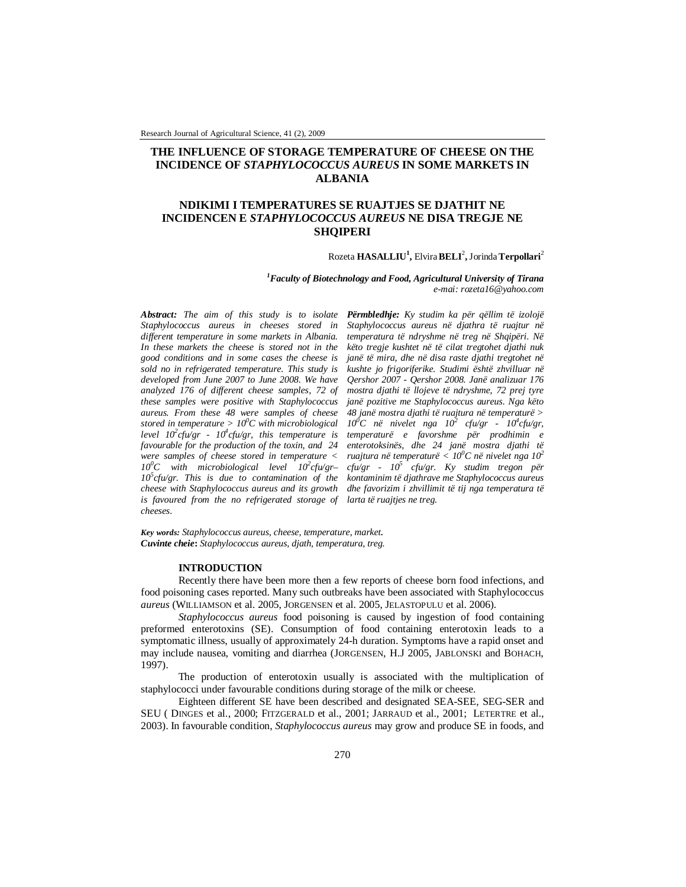Research Journal of Agricultural Science, 41 (2), 2009

# **THE INFLUENCE OF STORAGE TEMPERATURE OF CHEESE ON THE INCIDENCE OF** *STAPHYLOCOCCUS AUREUS* **IN SOME MARKETS IN ALBANIA**

# **NDIKIMI I TEMPERATURES SE RUAJTJES SE DJATHIT NE INCIDENCEN E** *STAPHYLOCOCCUS AUREUS* **NE DISA TREGJE NE SHQIPERI**

## Rozeta **HASALLIU<sup>1</sup> ,** Elvira**BELI**<sup>2</sup> **,** Jorinda**Terpollari**<sup>2</sup>

*<sup>1</sup>Faculty of Biotechnology and Food, Agricultural University of Tirana e-mai: rozeta16@yahoo.com*

*Abstract: The aim of this study is to isolate Staphylococcus aureus in cheeses stored in different temperature in some markets in Albania. In these markets the cheese is stored not in the good conditions and in some cases the cheese is sold no in refrigerated temperature. This study is developed from June 2007 to June 2008. We have analyzed 176 of different cheese samples, 72 of these samples were positive with Staphylococcus aureus. From these 48 were samples of cheese stored in temperature > 10<sup>0</sup>C with microbiological level 10<sup>2</sup> cfu/gr - 10<sup>4</sup> cfu/gr, this temperature is favourable for the production of the toxin, and 24 were samples of cheese stored in temperature < 10<sup>0</sup>C with microbiological level 10<sup>2</sup> cfu/gr– 10<sup>5</sup> cfu/gr. This is due to contamination of the cheese with Staphylococcus aureus and its growth is favoured from the no refrigerated storage of cheeses.* 

*Përmbledhje: Ky studim ka për qëllim të izolojë Staphylococcus aureus në djathra të ruajtur në temperatura të ndryshme në treg në Shqipëri. Në këto tregje kushtet në të cilat tregtohet djathi nuk janë të mira, dhe në disa raste djathi tregtohet në kushte jo frigoriferike. Studimi është zhvilluar në Qershor 2007 - Qershor 2008. Janë analizuar 176 mostra djathi të llojeve të ndryshme, 72 prej tyre janë pozitive me Staphylococcus aureus. Nga këto 48 janë mostra djathi të ruajtura në temperaturë >*  10<sup>0</sup>C në nivelet nga 10<sup>2</sup> cfu/gr - 10<sup>4</sup> cfu/gr, *temperaturë e favorshme për prodhimin e enterotoksinës, dhe 24 janë mostra djathi të ruajtura në temperaturë < 10<sup>0</sup>C në nivelet nga 10<sup>2</sup> cfu/gr - 10<sup>5</sup> cfu/gr. Ky studim tregon për kontaminim të djathrave me Staphylococcus aureus dhe favorizim i zhvillimit të tij nga temperatura të larta të ruajtjes ne treg.*

*Key words: Staphylococcus aureus, cheese, temperature, market. Cuvinte cheie***:** *Staphylococcus aureus, djath, temperatura, treg.*

### **INTRODUCTION**

Recently there have been more then a few reports of cheese born food infections, and food poisoning cases reported. Many such outbreaks have been associated with Staphylococcus *aureus* (WILLIAMSON et al. 2005, JORGENSEN et al. 2005, JELASTOPULU et al. 2006).

*Staphylococcus aureus* food poisoning is caused by ingestion of food containing preformed enterotoxins (SE). Consumption of food containing enterotoxin leads to a symptomatic illness, usually of approximately 24-h duration. Symptoms have a rapid onset and may include nausea, vomiting and diarrhea (JORGENSEN, H.J 2005, JABLONSKI and BOHACH, 1997).

The production of enterotoxin usually is associated with the multiplication of staphylococci under favourable conditions during storage of the milk or cheese.

Eighteen different SE have been described and designated SEA-SEE, SEG-SER and SEU ( DINGES et al., 2000; FITZGERALD et al., 2001; JARRAUD et al., 2001; LETERTRE et al., 2003). In favourable condition, *Staphylococcus aureus* may grow and produce SE in foods, and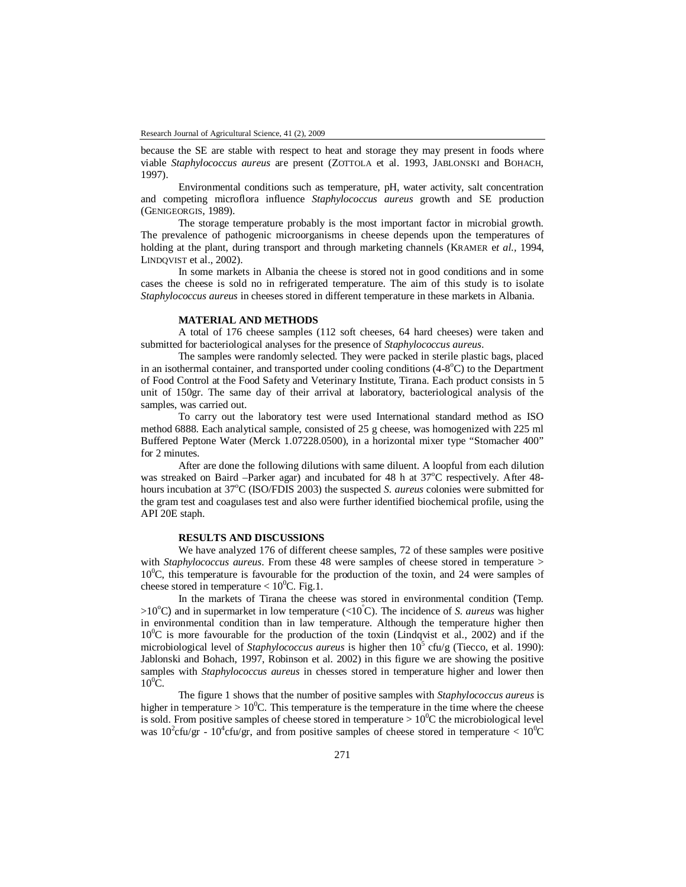because the SE are stable with respect to heat and storage they may present in foods where viable *Staphylococcus aureus* are present (ZOTTOLA et al. 1993, JABLONSKI and BOHACH, 1997).

Environmental conditions such as temperature, pH, water activity, salt concentration and competing microflora influence *Staphylococcus aureus* growth and SE production (GENIGEORGIS, 1989).

The storage temperature probably is the most important factor in microbial growth. The prevalence of pathogenic microorganisms in cheese depends upon the temperatures of holding at the plant, during transport and through marketing channels (KRAMER e*t al.,* 1994, LINDQVIST et al., 2002).

In some markets in Albania the cheese is stored not in good conditions and in some cases the cheese is sold no in refrigerated temperature. The aim of this study is to isolate *Staphylococcus aureus* in cheeses stored in different temperature in these markets in Albania.

#### **MATERIAL AND METHODS**

A total of 176 cheese samples (112 soft cheeses, 64 hard cheeses) were taken and submitted for bacteriological analyses for the presence of *Staphylococcus aureus*.

The samples were randomly selected. They were packed in sterile plastic bags, placed in an isothermal container, and transported under cooling conditions  $(4-8^{\circ}C)$  to the Department of Food Control at the Food Safety and Veterinary Institute, Tirana. Each product consists in 5 unit of 150gr. The same day of their arrival at laboratory, bacteriological analysis of the samples, was carried out.

To carry out the laboratory test were used International standard method as ISO method 6888. Each analytical sample, consisted of 25 g cheese, was homogenized with 225 ml Buffered Peptone Water (Merck 1.07228.0500), in a horizontal mixer type "Stomacher 400" for 2 minutes.

After are done the following dilutions with same diluent. A loopful from each dilution was streaked on Baird –Parker agar) and incubated for 48 h at  $37^{\circ}$ C respectively. After 48hours incubation at 37<sup>o</sup>C (ISO/FDIS 2003) the suspected *S. aureus* colonies were submitted for the gram test and coagulases test and also were further identified biochemical profile, using the API 20E staph.

## **RESULTS AND DISCUSSIONS**

We have analyzed 176 of different cheese samples, 72 of these samples were positive with *Staphylococcus aureus*. From these 48 were samples of cheese stored in temperature >  $10^{\circ}$ C, this temperature is favourable for the production of the toxin, and 24 were samples of cheese stored in temperature  $< 10^{0}$ C. Fig.1.

In the markets of Tirana the cheese was stored in environmental condition (Temp.  $>10^{\circ}$ C) and in supermarket in low temperature (<10<sup>°</sup>C). The incidence of *S. aureus* was higher in environmental condition than in law temperature. Although the temperature higher then  $10^{\circ}$ C is more favourable for the production of the toxin (Lindqvist et al., 2002) and if the microbiological level of *Staphylococcus aureus* is higher then  $10^5$  cfu/g (Tiecco, et al. 1990): Jablonski and Bohach, 1997, Robinson et al. 2002) in this figure we are showing the positive samples with *Staphylococcus aureus* in chesses stored in temperature higher and lower then  $10^0$ C.

The figure 1 shows that the number of positive samples with *Staphylococcus aureus* is higher in temperature >  $10^{0}$ C. This temperature is the temperature in the time where the cheese is sold. From positive samples of cheese stored in temperature  $> 10^{0}$ C the microbiological level was  $10^2$ cfu/gr -  $10^4$ cfu/gr, and from positive samples of cheese stored in temperature <  $10^0$ C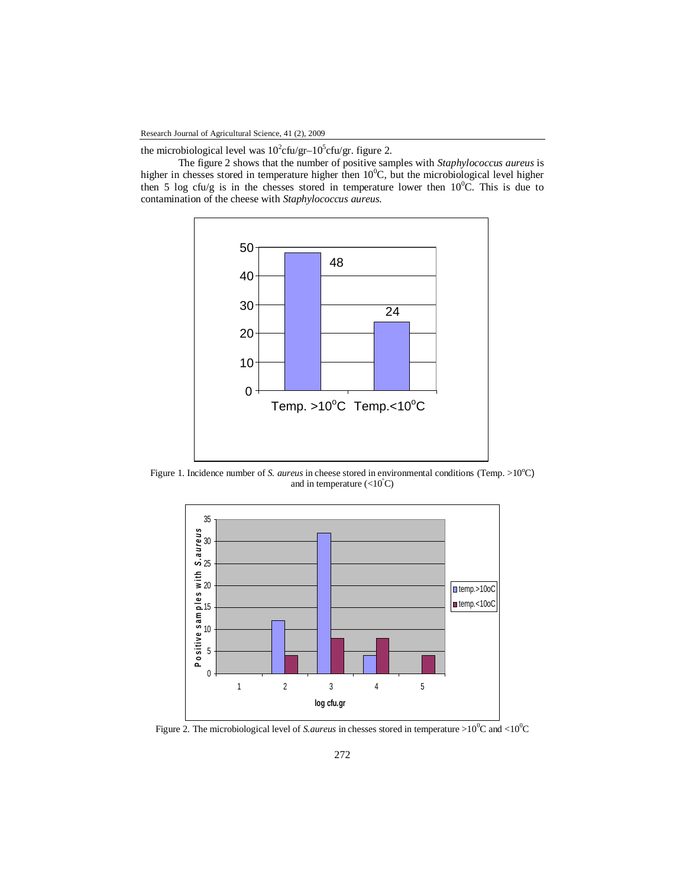the microbiological level was  $10^2$ cfu/gr- $10^5$ cfu/gr. figure 2.

The figure 2 shows that the number of positive samples with *Staphylococcus aureus* is higher in chesses stored in temperature higher then  $10^0$ C, but the microbiological level higher then 5 log cfu/g is in the chesses stored in temperature lower then  $10^{0}$ C. This is due to contamination of the cheese with *Staphylococcus aureus.*



Figure 1. Incidence number of *S. aureus* in cheese stored in environmental conditions (Temp. >10°C) and in temperature  $(<10^{\circ}C)$ 



Figure 2. The microbiological level of *S.aureus* in chesses stored in temperature >10<sup>0</sup>C and <10<sup>0</sup>C